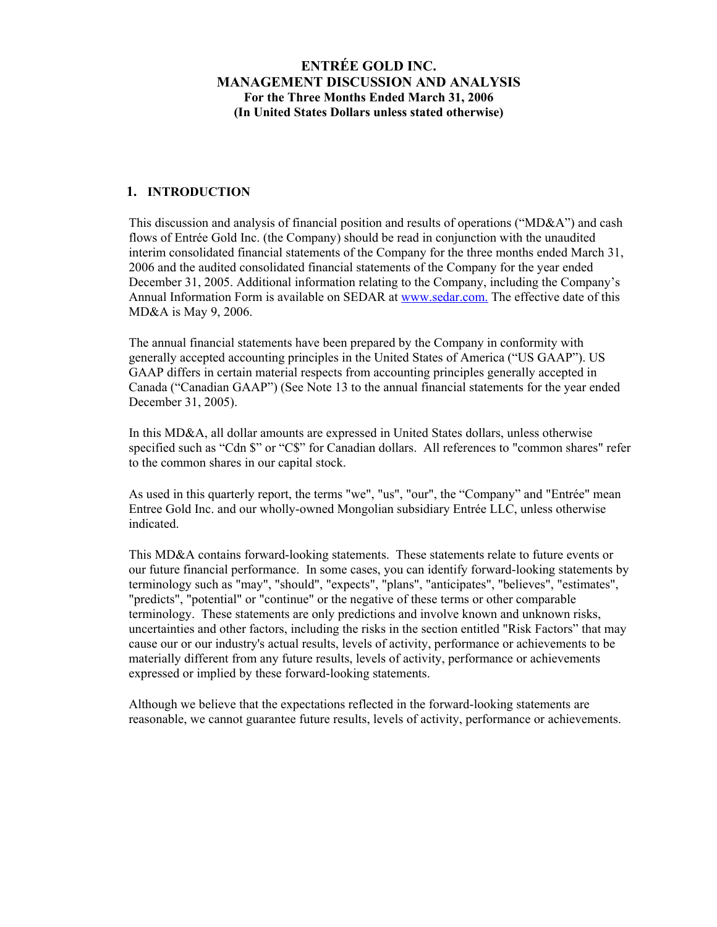### **1. INTRODUCTION**

This discussion and analysis of financial position and results of operations ("MD&A") and cash flows of Entrée Gold Inc. (the Company) should be read in conjunction with the unaudited interim consolidated financial statements of the Company for the three months ended March 31, 2006 and the audited consolidated financial statements of the Company for the year ended December 31, 2005. Additional information relating to the Company, including the Company's Annual Information Form is available on SEDAR at www.sedar.com. The effective date of this MD&A is May 9, 2006.

The annual financial statements have been prepared by the Company in conformity with generally accepted accounting principles in the United States of America ("US GAAP"). US GAAP differs in certain material respects from accounting principles generally accepted in Canada ("Canadian GAAP") (See Note 13 to the annual financial statements for the year ended December 31, 2005).

In this MD&A, all dollar amounts are expressed in United States dollars, unless otherwise specified such as "Cdn \$" or "C\$" for Canadian dollars. All references to "common shares" refer to the common shares in our capital stock.

As used in this quarterly report, the terms "we", "us", "our", the "Company" and "Entrée" mean Entree Gold Inc. and our wholly-owned Mongolian subsidiary Entrée LLC, unless otherwise indicated.

This MD&A contains forward-looking statements. These statements relate to future events or our future financial performance. In some cases, you can identify forward-looking statements by terminology such as "may", "should", "expects", "plans", "anticipates", "believes", "estimates", "predicts", "potential" or "continue" or the negative of these terms or other comparable terminology. These statements are only predictions and involve known and unknown risks, uncertainties and other factors, including the risks in the section entitled "Risk Factors" that may cause our or our industry's actual results, levels of activity, performance or achievements to be materially different from any future results, levels of activity, performance or achievements expressed or implied by these forward-looking statements.

Although we believe that the expectations reflected in the forward-looking statements are reasonable, we cannot guarantee future results, levels of activity, performance or achievements.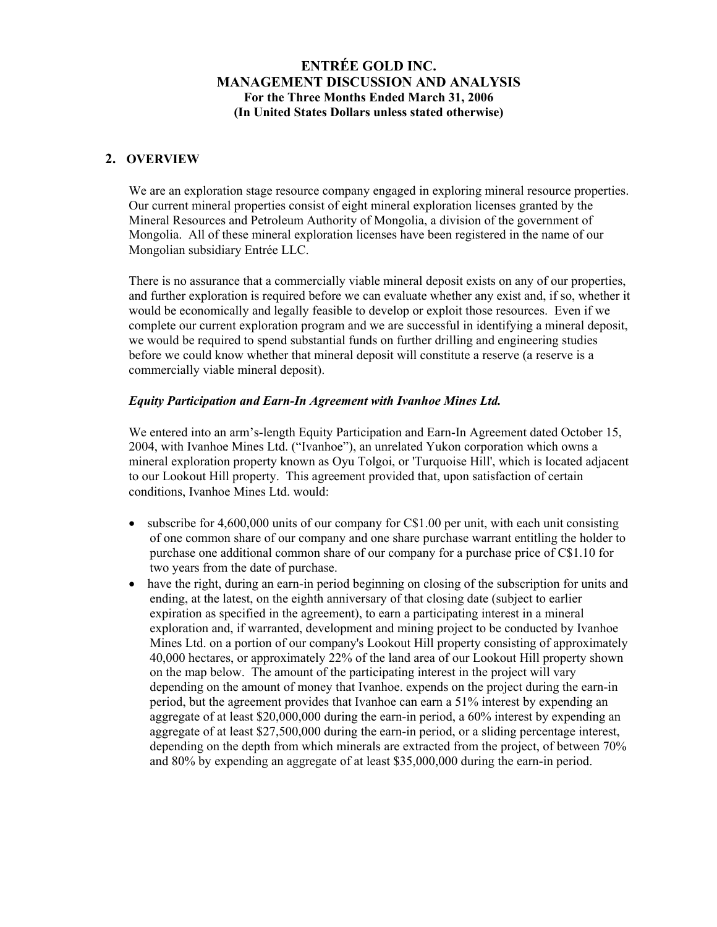### **2. OVERVIEW**

We are an exploration stage resource company engaged in exploring mineral resource properties. Our current mineral properties consist of eight mineral exploration licenses granted by the Mineral Resources and Petroleum Authority of Mongolia, a division of the government of Mongolia. All of these mineral exploration licenses have been registered in the name of our Mongolian subsidiary Entrée LLC.

There is no assurance that a commercially viable mineral deposit exists on any of our properties, and further exploration is required before we can evaluate whether any exist and, if so, whether it would be economically and legally feasible to develop or exploit those resources. Even if we complete our current exploration program and we are successful in identifying a mineral deposit, we would be required to spend substantial funds on further drilling and engineering studies before we could know whether that mineral deposit will constitute a reserve (a reserve is a commercially viable mineral deposit).

### *Equity Participation and Earn-In Agreement with Ivanhoe Mines Ltd.*

We entered into an arm's-length Equity Participation and Earn-In Agreement dated October 15, 2004, with Ivanhoe Mines Ltd. ("Ivanhoe"), an unrelated Yukon corporation which owns a mineral exploration property known as Oyu Tolgoi, or 'Turquoise Hill', which is located adjacent to our Lookout Hill property. This agreement provided that, upon satisfaction of certain conditions, Ivanhoe Mines Ltd. would:

- subscribe for 4,600,000 units of our company for C\$1.00 per unit, with each unit consisting of one common share of our company and one share purchase warrant entitling the holder to purchase one additional common share of our company for a purchase price of C\$1.10 for two years from the date of purchase.
- have the right, during an earn-in period beginning on closing of the subscription for units and ending, at the latest, on the eighth anniversary of that closing date (subject to earlier expiration as specified in the agreement), to earn a participating interest in a mineral exploration and, if warranted, development and mining project to be conducted by Ivanhoe Mines Ltd. on a portion of our company's Lookout Hill property consisting of approximately 40,000 hectares, or approximately 22% of the land area of our Lookout Hill property shown on the map below. The amount of the participating interest in the project will vary depending on the amount of money that Ivanhoe. expends on the project during the earn-in period, but the agreement provides that Ivanhoe can earn a 51% interest by expending an aggregate of at least \$20,000,000 during the earn-in period, a 60% interest by expending an aggregate of at least \$27,500,000 during the earn-in period, or a sliding percentage interest, depending on the depth from which minerals are extracted from the project, of between 70% and 80% by expending an aggregate of at least \$35,000,000 during the earn-in period.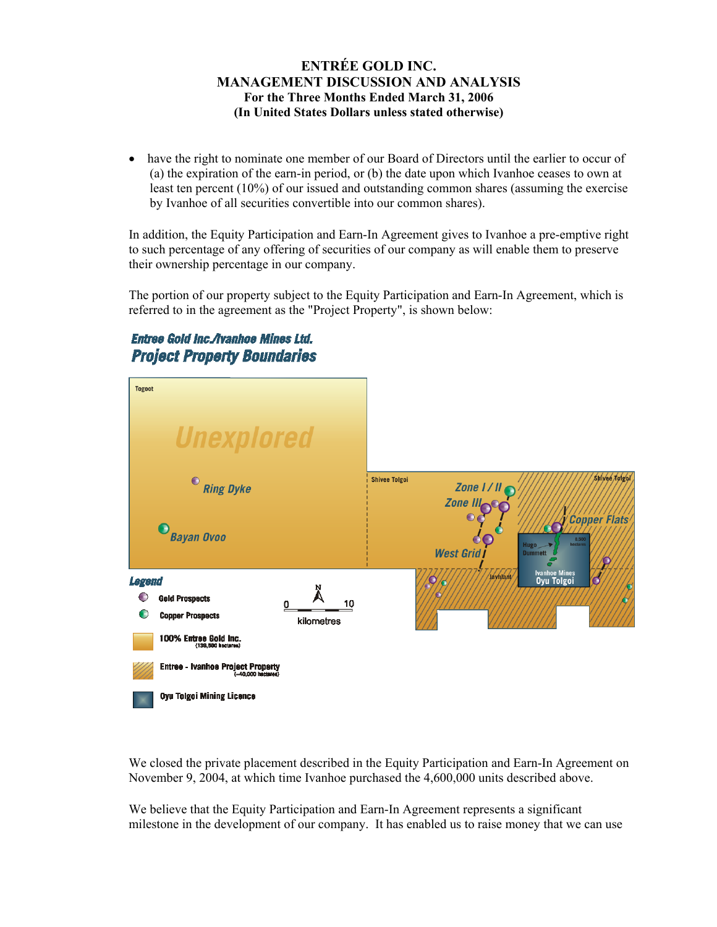• have the right to nominate one member of our Board of Directors until the earlier to occur of (a) the expiration of the earn-in period, or (b) the date upon which Ivanhoe ceases to own at least ten percent (10%) of our issued and outstanding common shares (assuming the exercise by Ivanhoe of all securities convertible into our common shares).

In addition, the Equity Participation and Earn-In Agreement gives to Ivanhoe a pre-emptive right to such percentage of any offering of securities of our company as will enable them to preserve their ownership percentage in our company.

The portion of our property subject to the Equity Participation and Earn-In Agreement, which is referred to in the agreement as the "Project Property", is shown below:

# Entree Gold Inc./Ivanhoe Mines Ltd. **Project Property Boundaries**



We closed the private placement described in the Equity Participation and Earn-In Agreement on November 9, 2004, at which time Ivanhoe purchased the 4,600,000 units described above.

We believe that the Equity Participation and Earn-In Agreement represents a significant milestone in the development of our company. It has enabled us to raise money that we can use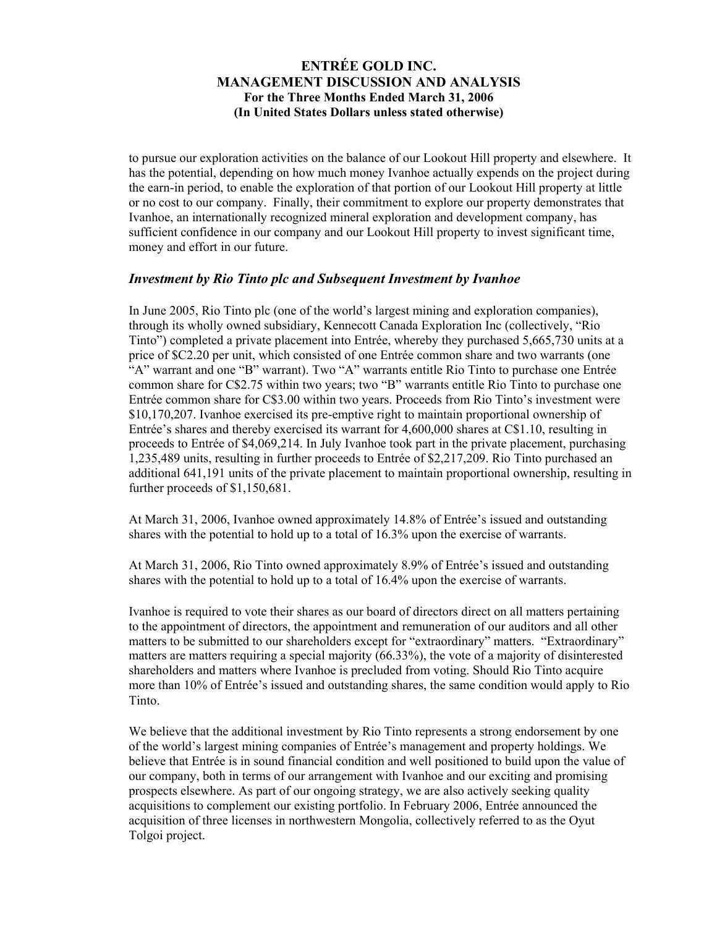to pursue our exploration activities on the balance of our Lookout Hill property and elsewhere. It has the potential, depending on how much money Ivanhoe actually expends on the project during the earn-in period, to enable the exploration of that portion of our Lookout Hill property at little or no cost to our company. Finally, their commitment to explore our property demonstrates that Ivanhoe, an internationally recognized mineral exploration and development company, has sufficient confidence in our company and our Lookout Hill property to invest significant time, money and effort in our future.

### *Investment by Rio Tinto plc and Subsequent Investment by Ivanhoe*

In June 2005, Rio Tinto plc (one of the world's largest mining and exploration companies), through its wholly owned subsidiary, Kennecott Canada Exploration Inc (collectively, "Rio Tinto") completed a private placement into Entrée, whereby they purchased 5,665,730 units at a price of \$C2.20 per unit, which consisted of one Entrée common share and two warrants (one "A" warrant and one "B" warrant). Two "A" warrants entitle Rio Tinto to purchase one Entrée common share for C\$2.75 within two years; two "B" warrants entitle Rio Tinto to purchase one Entrée common share for C\$3.00 within two years. Proceeds from Rio Tinto's investment were \$10,170,207. Ivanhoe exercised its pre-emptive right to maintain proportional ownership of Entrée's shares and thereby exercised its warrant for 4,600,000 shares at C\$1.10, resulting in proceeds to Entrée of \$4,069,214. In July Ivanhoe took part in the private placement, purchasing 1,235,489 units, resulting in further proceeds to Entrée of \$2,217,209. Rio Tinto purchased an additional 641,191 units of the private placement to maintain proportional ownership, resulting in further proceeds of \$1,150,681.

At March 31, 2006, Ivanhoe owned approximately 14.8% of Entrée's issued and outstanding shares with the potential to hold up to a total of 16.3% upon the exercise of warrants.

At March 31, 2006, Rio Tinto owned approximately 8.9% of Entrée's issued and outstanding shares with the potential to hold up to a total of 16.4% upon the exercise of warrants.

Ivanhoe is required to vote their shares as our board of directors direct on all matters pertaining to the appointment of directors, the appointment and remuneration of our auditors and all other matters to be submitted to our shareholders except for "extraordinary" matters. "Extraordinary" matters are matters requiring a special majority (66.33%), the vote of a majority of disinterested shareholders and matters where Ivanhoe is precluded from voting. Should Rio Tinto acquire more than 10% of Entrée's issued and outstanding shares, the same condition would apply to Rio Tinto.

We believe that the additional investment by Rio Tinto represents a strong endorsement by one of the world's largest mining companies of Entrée's management and property holdings. We believe that Entrée is in sound financial condition and well positioned to build upon the value of our company, both in terms of our arrangement with Ivanhoe and our exciting and promising prospects elsewhere. As part of our ongoing strategy, we are also actively seeking quality acquisitions to complement our existing portfolio. In February 2006, Entrée announced the acquisition of three licenses in northwestern Mongolia, collectively referred to as the Oyut Tolgoi project.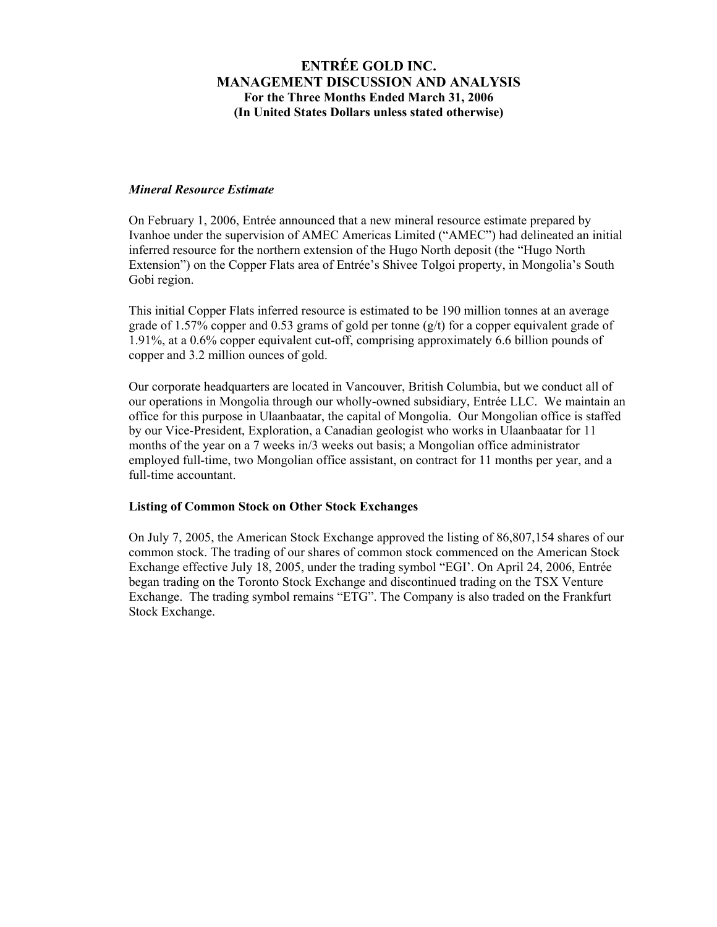#### *Mineral Resource Estimate*

On February 1, 2006, Entrée announced that a new mineral resource estimate prepared by Ivanhoe under the supervision of AMEC Americas Limited ("AMEC") had delineated an initial inferred resource for the northern extension of the Hugo North deposit (the "Hugo North Extension") on the Copper Flats area of Entrée's Shivee Tolgoi property, in Mongolia's South Gobi region.

This initial Copper Flats inferred resource is estimated to be 190 million tonnes at an average grade of 1.57% copper and 0.53 grams of gold per tonne  $(g/t)$  for a copper equivalent grade of 1.91%, at a 0.6% copper equivalent cut-off, comprising approximately 6.6 billion pounds of copper and 3.2 million ounces of gold.

Our corporate headquarters are located in Vancouver, British Columbia, but we conduct all of our operations in Mongolia through our wholly-owned subsidiary, Entrée LLC. We maintain an office for this purpose in Ulaanbaatar, the capital of Mongolia. Our Mongolian office is staffed by our Vice-President, Exploration, a Canadian geologist who works in Ulaanbaatar for 11 months of the year on a 7 weeks in/3 weeks out basis; a Mongolian office administrator employed full-time, two Mongolian office assistant, on contract for 11 months per year, and a full-time accountant.

#### **Listing of Common Stock on Other Stock Exchanges**

On July 7, 2005, the American Stock Exchange approved the listing of 86,807,154 shares of our common stock. The trading of our shares of common stock commenced on the American Stock Exchange effective July 18, 2005, under the trading symbol "EGI'. On April 24, 2006, Entrée began trading on the Toronto Stock Exchange and discontinued trading on the TSX Venture Exchange. The trading symbol remains "ETG". The Company is also traded on the Frankfurt Stock Exchange.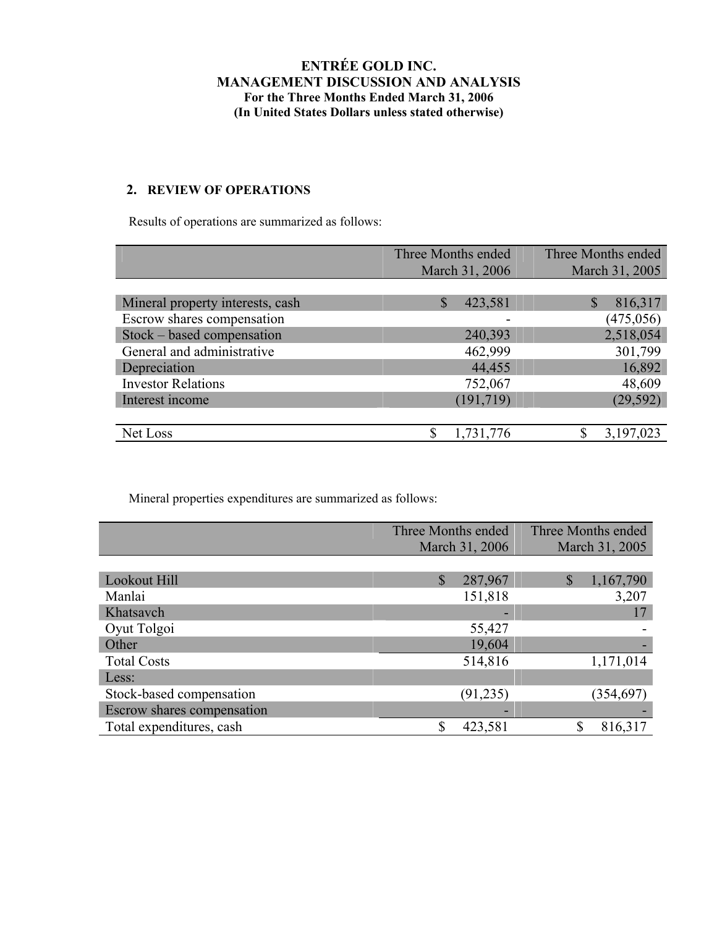### **2. REVIEW OF OPERATIONS**

Results of operations are summarized as follows:

| Three Months ended       | Three Months ended |  |  |
|--------------------------|--------------------|--|--|
| March 31, 2006           | March 31, 2005     |  |  |
|                          |                    |  |  |
| $\mathcal{S}$<br>423,581 | 816,317            |  |  |
|                          | (475, 056)         |  |  |
| 240,393                  | 2,518,054          |  |  |
| 462,999                  | 301,799            |  |  |
| 44,455                   | 16,892             |  |  |
| 752,067                  | 48,609             |  |  |
| (191, 719)               | (29, 592)          |  |  |
|                          |                    |  |  |
| 1,731,776                | 3,197,023          |  |  |
|                          |                    |  |  |

Mineral properties expenditures are summarized as follows:

|                            | Three Months ended      | Three Months ended |  |
|----------------------------|-------------------------|--------------------|--|
|                            | March 31, 2006          | March 31, 2005     |  |
|                            |                         |                    |  |
| Lookout Hill               | $\mathbb{S}$<br>287,967 | \$<br>1,167,790    |  |
| Manlai                     | 151,818                 | 3,207              |  |
| Khatsavch                  |                         | 17                 |  |
| Oyut Tolgoi                | 55,427                  |                    |  |
| Other                      | 19,604                  |                    |  |
| <b>Total Costs</b>         | 514,816                 | 1,171,014          |  |
| Less:                      |                         |                    |  |
| Stock-based compensation   | (91, 235)               | (354, 697)         |  |
| Escrow shares compensation |                         |                    |  |
| Total expenditures, cash   | \$<br>423,581           | ¢<br>816,317       |  |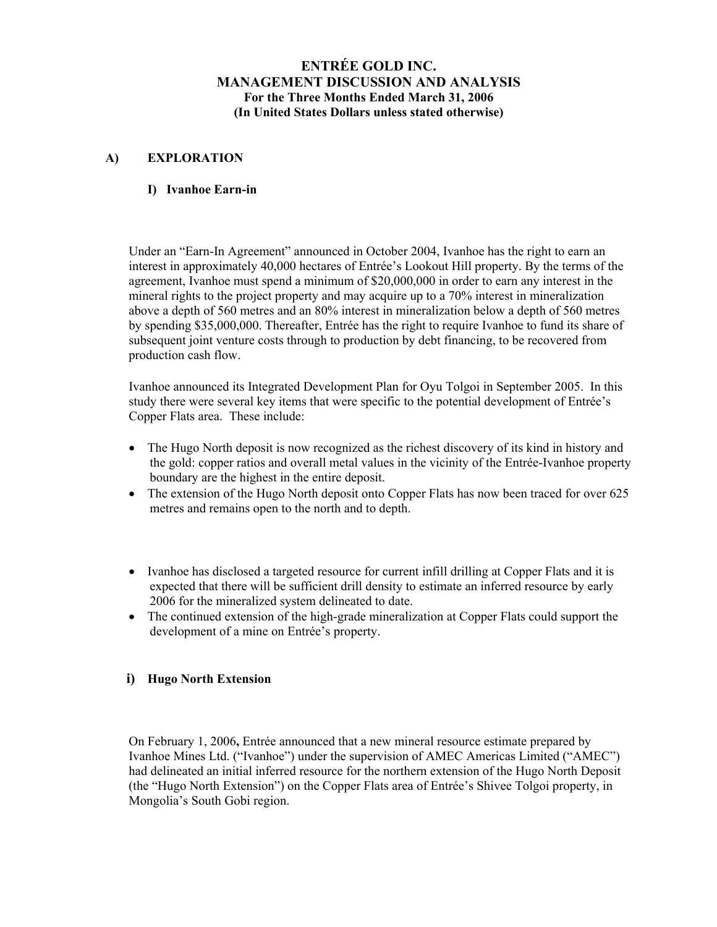### **A) EXPLORATION**

#### **I) Ivanhoe Earn-in**

Under an "Earn-In Agreement" announced in October 2004, Ivanhoe has the right to earn an interest in approximately 40,000 hectares of Entrée's Lookout Hill property. By the terms of the agreement, Ivanhoe must spend a minimum of \$20,000,000 in order to earn any interest in the mineral rights to the project property and may acquire up to a 70% interest in mineralization above a depth of 560 metres and an 80% interest in mineralization below a depth of 560 metres by spending \$35,000,000. Thereafter, Entrée has the right to require Ivanhoe to fund its share of subsequent joint venture costs through to production by debt financing, to be recovered from production cash flow.

Ivanhoe announced its Integrated Development Plan for Oyu Tolgoi in September 2005. In this study there were several key items that were specific to the potential development of Entrée's Copper Flats area. These include:

- The Hugo North deposit is now recognized as the richest discovery of its kind in history and the gold: copper ratios and overall metal values in the vicinity of the Entrée-Ivanhoe property boundary are the highest in the entire deposit.
- The extension of the Hugo North deposit onto Copper Flats has now been traced for over 625 metres and remains open to the north and to depth.
- Ivanhoe has disclosed a targeted resource for current infill drilling at Copper Flats and it is expected that there will be sufficient drill density to estimate an inferred resource by early 2006 for the mineralized system delineated to date.
- The continued extension of the high-grade mineralization at Copper Flats could support the development of a mine on Entrée's property.

### **i) Hugo North Extension**

On February 1, 2006**,** Entrée announced that a new mineral resource estimate prepared by Ivanhoe Mines Ltd. ("Ivanhoe") under the supervision of AMEC Americas Limited ("AMEC") had delineated an initial inferred resource for the northern extension of the Hugo North Deposit (the "Hugo North Extension") on the Copper Flats area of Entrée's Shivee Tolgoi property, in Mongolia's South Gobi region.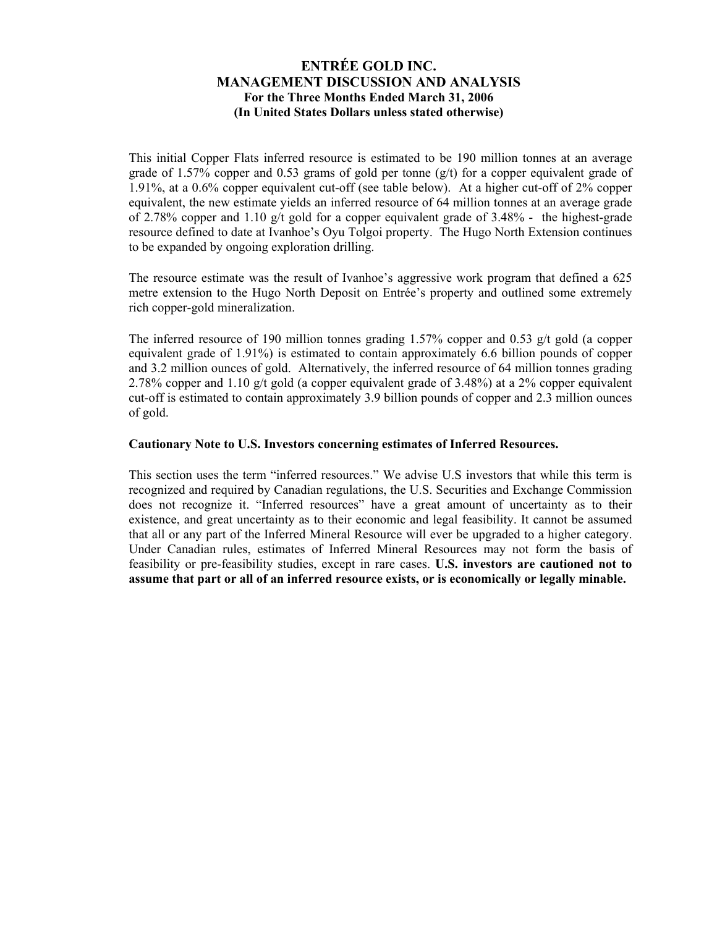This initial Copper Flats inferred resource is estimated to be 190 million tonnes at an average grade of 1.57% copper and 0.53 grams of gold per tonne  $(g/t)$  for a copper equivalent grade of 1.91%, at a 0.6% copper equivalent cut-off (see table below). At a higher cut-off of 2% copper equivalent, the new estimate yields an inferred resource of 64 million tonnes at an average grade of 2.78% copper and 1.10 g/t gold for a copper equivalent grade of 3.48% - the highest-grade resource defined to date at Ivanhoe's Oyu Tolgoi property. The Hugo North Extension continues to be expanded by ongoing exploration drilling.

The resource estimate was the result of Ivanhoe's aggressive work program that defined a 625 metre extension to the Hugo North Deposit on Entrée's property and outlined some extremely rich copper-gold mineralization.

The inferred resource of 190 million tonnes grading 1.57% copper and 0.53  $g/t$  gold (a copper equivalent grade of 1.91%) is estimated to contain approximately 6.6 billion pounds of copper and 3.2 million ounces of gold. Alternatively, the inferred resource of 64 million tonnes grading 2.78% copper and 1.10 g/t gold (a copper equivalent grade of 3.48%) at a 2% copper equivalent cut-off is estimated to contain approximately 3.9 billion pounds of copper and 2.3 million ounces of gold.

### **Cautionary Note to U.S. Investors concerning estimates of Inferred Resources.**

This section uses the term "inferred resources." We advise U.S investors that while this term is recognized and required by Canadian regulations, the U.S. Securities and Exchange Commission does not recognize it. "Inferred resources" have a great amount of uncertainty as to their existence, and great uncertainty as to their economic and legal feasibility. It cannot be assumed that all or any part of the Inferred Mineral Resource will ever be upgraded to a higher category. Under Canadian rules, estimates of Inferred Mineral Resources may not form the basis of feasibility or pre-feasibility studies, except in rare cases. **U.S. investors are cautioned not to assume that part or all of an inferred resource exists, or is economically or legally minable.**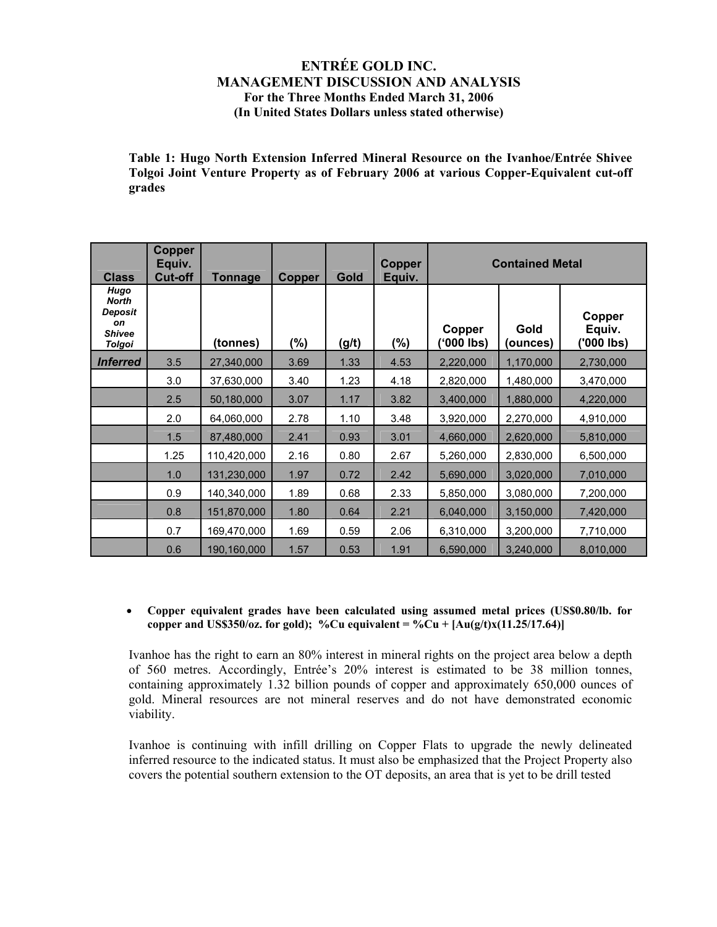**Table 1: Hugo North Extension Inferred Mineral Resource on the Ivanhoe/Entrée Shivee Tolgoi Joint Venture Property as of February 2006 at various Copper-Equivalent cut-off grades** 

| <b>Class</b>                                                     | <b>Copper</b><br>Equiv.<br><b>Cut-off</b> | <b>Tonnage</b> | <b>Copper</b> | Gold  | Copper<br>Equiv. | <b>Contained Metal</b> |                  |                                |
|------------------------------------------------------------------|-------------------------------------------|----------------|---------------|-------|------------------|------------------------|------------------|--------------------------------|
| Hugo<br><b>North</b><br>Deposit<br>on<br><b>Shivee</b><br>Tolgoi |                                           | (tonnes)       | (%)           | (g/t) | $(\% )$          | Copper<br>('000 lbs)   | Gold<br>(ounces) | Copper<br>Equiv.<br>('000 lbs) |
| <i><b>Inferred</b></i>                                           | 3.5                                       | 27,340,000     | 3.69          | 1.33  | 4.53             | 2,220,000              | 1,170,000        | 2,730,000                      |
|                                                                  | 3.0                                       | 37,630,000     | 3.40          | 1.23  | 4.18             | 2,820,000              | 1,480,000        | 3,470,000                      |
|                                                                  | 2.5                                       | 50,180,000     | 3.07          | 1.17  | 3.82             | 3,400,000              | 1,880,000        | 4,220,000                      |
|                                                                  | 2.0                                       | 64,060,000     | 2.78          | 1.10  | 3.48             | 3,920,000              | 2,270,000        | 4,910,000                      |
|                                                                  | 1.5                                       | 87,480,000     | 2.41          | 0.93  | 3.01             | 4,660,000              | 2,620,000        | 5,810,000                      |
|                                                                  | 1.25                                      | 110,420,000    | 2.16          | 0.80  | 2.67             | 5,260,000              | 2,830,000        | 6,500,000                      |
|                                                                  | 1.0                                       | 131,230,000    | 1.97          | 0.72  | 2.42             | 5,690,000              | 3,020,000        | 7,010,000                      |
|                                                                  | 0.9                                       | 140,340,000    | 1.89          | 0.68  | 2.33             | 5,850,000              | 3,080,000        | 7,200,000                      |
|                                                                  | 0.8                                       | 151,870,000    | 1.80          | 0.64  | 2.21             | 6,040,000              | 3,150,000        | 7,420,000                      |
|                                                                  | 0.7                                       | 169,470,000    | 1.69          | 0.59  | 2.06             | 6,310,000              | 3,200,000        | 7,710,000                      |
|                                                                  | 0.6                                       | 190,160,000    | 1.57          | 0.53  | 1.91             | 6,590,000              | 3,240,000        | 8,010,000                      |

#### • **Copper equivalent grades have been calculated using assumed metal prices (US\$0.80/lb. for copper** and US\$350/oz. for gold); %Cu equivalent = %Cu +  $[Au(g/t)x(11.25/17.64)]$

Ivanhoe has the right to earn an 80% interest in mineral rights on the project area below a depth of 560 metres. Accordingly, Entrée's 20% interest is estimated to be 38 million tonnes, containing approximately 1.32 billion pounds of copper and approximately 650,000 ounces of gold. Mineral resources are not mineral reserves and do not have demonstrated economic viability.

Ivanhoe is continuing with infill drilling on Copper Flats to upgrade the newly delineated inferred resource to the indicated status. It must also be emphasized that the Project Property also covers the potential southern extension to the OT deposits, an area that is yet to be drill tested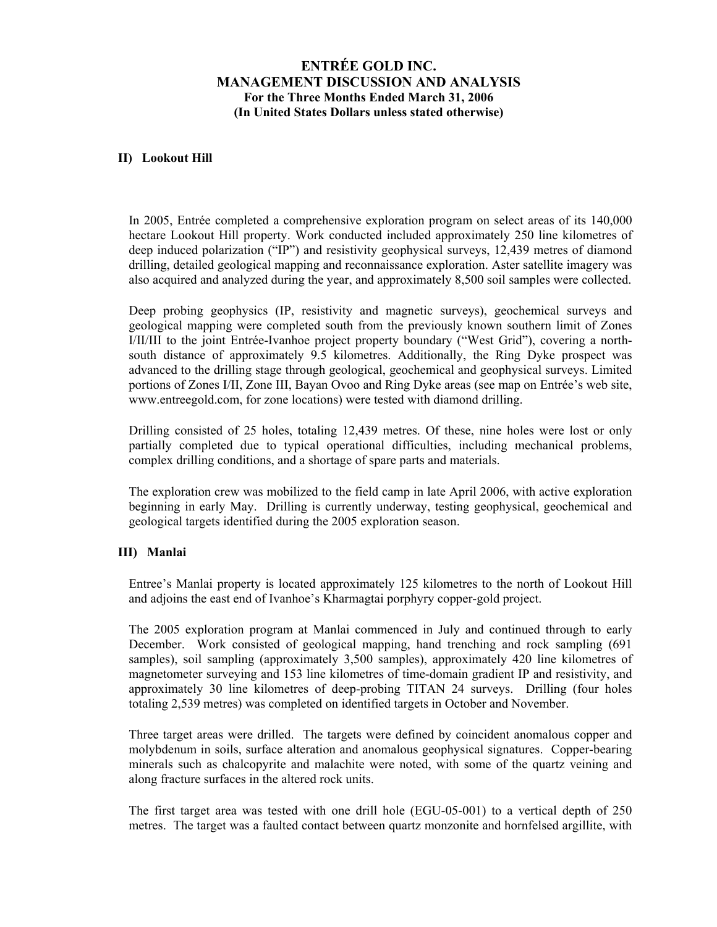#### **II) Lookout Hill**

In 2005, Entrée completed a comprehensive exploration program on select areas of its 140,000 hectare Lookout Hill property. Work conducted included approximately 250 line kilometres of deep induced polarization ("IP") and resistivity geophysical surveys, 12,439 metres of diamond drilling, detailed geological mapping and reconnaissance exploration. Aster satellite imagery was also acquired and analyzed during the year, and approximately 8,500 soil samples were collected.

Deep probing geophysics (IP, resistivity and magnetic surveys), geochemical surveys and geological mapping were completed south from the previously known southern limit of Zones I/II/III to the joint Entrée-Ivanhoe project property boundary ("West Grid"), covering a northsouth distance of approximately 9.5 kilometres. Additionally, the Ring Dyke prospect was advanced to the drilling stage through geological, geochemical and geophysical surveys. Limited portions of Zones I/II, Zone III, Bayan Ovoo and Ring Dyke areas (see map on Entrée's web site, www.entreegold.com, for zone locations) were tested with diamond drilling.

Drilling consisted of 25 holes, totaling 12,439 metres. Of these, nine holes were lost or only partially completed due to typical operational difficulties, including mechanical problems, complex drilling conditions, and a shortage of spare parts and materials.

The exploration crew was mobilized to the field camp in late April 2006, with active exploration beginning in early May. Drilling is currently underway, testing geophysical, geochemical and geological targets identified during the 2005 exploration season.

#### **III) Manlai**

Entree's Manlai property is located approximately 125 kilometres to the north of Lookout Hill and adjoins the east end of Ivanhoe's Kharmagtai porphyry copper-gold project.

The 2005 exploration program at Manlai commenced in July and continued through to early December. Work consisted of geological mapping, hand trenching and rock sampling (691 samples), soil sampling (approximately 3,500 samples), approximately 420 line kilometres of magnetometer surveying and 153 line kilometres of time-domain gradient IP and resistivity, and approximately 30 line kilometres of deep-probing TITAN 24 surveys. Drilling (four holes totaling 2,539 metres) was completed on identified targets in October and November.

Three target areas were drilled. The targets were defined by coincident anomalous copper and molybdenum in soils, surface alteration and anomalous geophysical signatures. Copper-bearing minerals such as chalcopyrite and malachite were noted, with some of the quartz veining and along fracture surfaces in the altered rock units.

The first target area was tested with one drill hole (EGU-05-001) to a vertical depth of 250 metres. The target was a faulted contact between quartz monzonite and hornfelsed argillite, with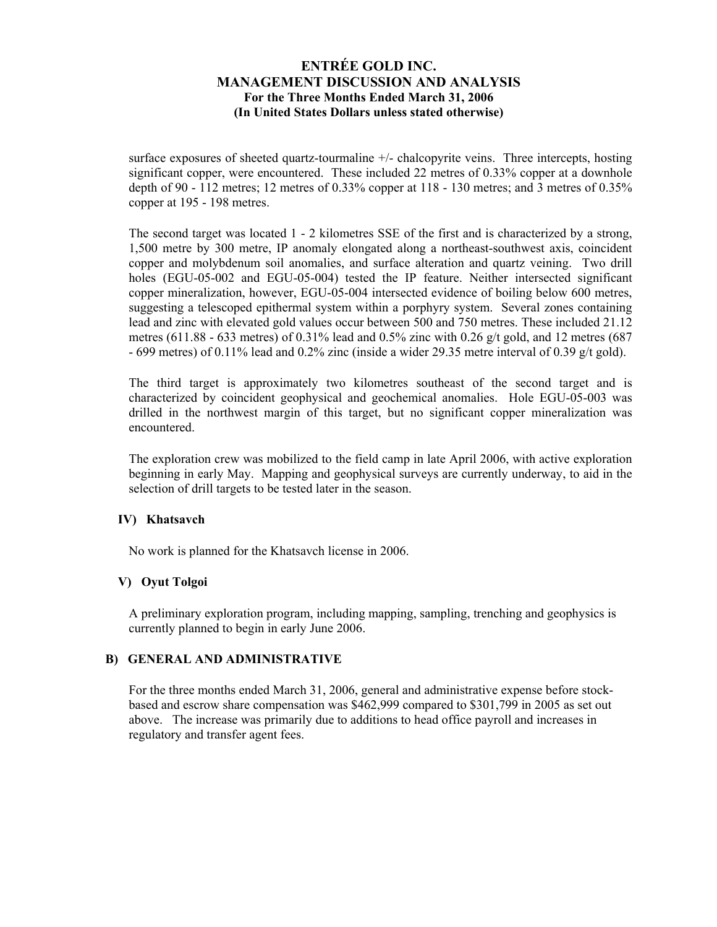surface exposures of sheeted quartz-tourmaline +/- chalcopyrite veins. Three intercepts, hosting significant copper, were encountered. These included 22 metres of 0.33% copper at a downhole depth of 90 - 112 metres; 12 metres of 0.33% copper at 118 - 130 metres; and 3 metres of 0.35% copper at 195 - 198 metres.

The second target was located 1 - 2 kilometres SSE of the first and is characterized by a strong, 1,500 metre by 300 metre, IP anomaly elongated along a northeast-southwest axis, coincident copper and molybdenum soil anomalies, and surface alteration and quartz veining. Two drill holes (EGU-05-002 and EGU-05-004) tested the IP feature. Neither intersected significant copper mineralization, however, EGU-05-004 intersected evidence of boiling below 600 metres, suggesting a telescoped epithermal system within a porphyry system. Several zones containing lead and zinc with elevated gold values occur between 500 and 750 metres. These included 21.12 metres (611.88 - 633 metres) of 0.31% lead and 0.5% zinc with 0.26  $g/t$  gold, and 12 metres (687) - 699 metres) of 0.11% lead and 0.2% zinc (inside a wider 29.35 metre interval of 0.39 g/t gold).

The third target is approximately two kilometres southeast of the second target and is characterized by coincident geophysical and geochemical anomalies. Hole EGU-05-003 was drilled in the northwest margin of this target, but no significant copper mineralization was encountered.

The exploration crew was mobilized to the field camp in late April 2006, with active exploration beginning in early May. Mapping and geophysical surveys are currently underway, to aid in the selection of drill targets to be tested later in the season.

### **IV) Khatsavch**

No work is planned for the Khatsavch license in 2006.

### **V) Oyut Tolgoi**

A preliminary exploration program, including mapping, sampling, trenching and geophysics is currently planned to begin in early June 2006.

#### **B) GENERAL AND ADMINISTRATIVE**

For the three months ended March 31, 2006, general and administrative expense before stockbased and escrow share compensation was \$462,999 compared to \$301,799 in 2005 as set out above. The increase was primarily due to additions to head office payroll and increases in regulatory and transfer agent fees.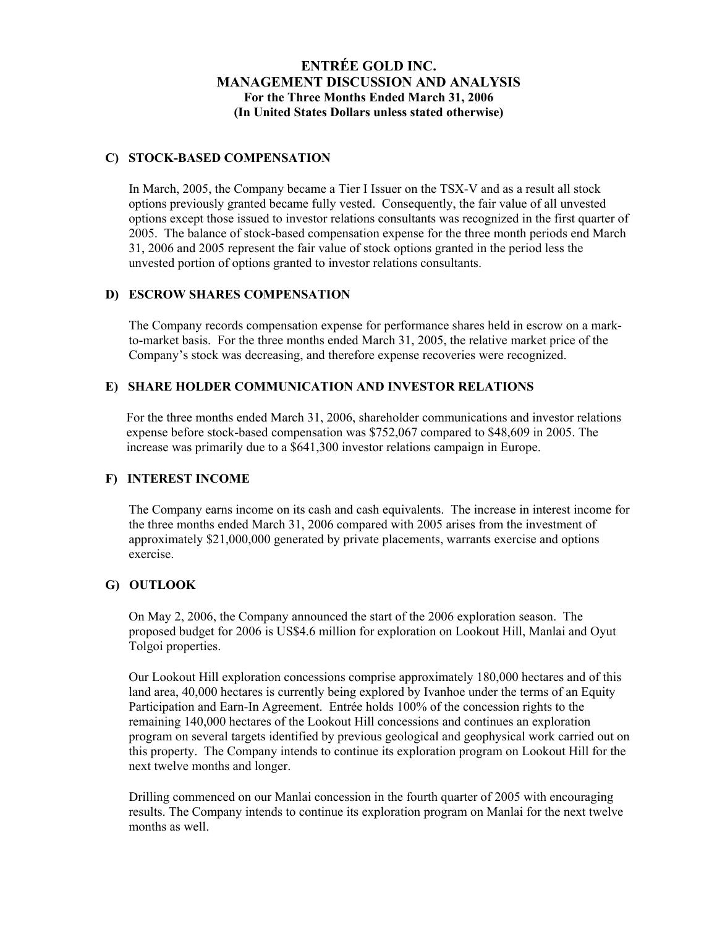#### **C) STOCK-BASED COMPENSATION**

In March, 2005, the Company became a Tier I Issuer on the TSX-V and as a result all stock options previously granted became fully vested. Consequently, the fair value of all unvested options except those issued to investor relations consultants was recognized in the first quarter of 2005. The balance of stock-based compensation expense for the three month periods end March 31, 2006 and 2005 represent the fair value of stock options granted in the period less the unvested portion of options granted to investor relations consultants.

#### **D) ESCROW SHARES COMPENSATION**

The Company records compensation expense for performance shares held in escrow on a markto-market basis. For the three months ended March 31, 2005, the relative market price of the Company's stock was decreasing, and therefore expense recoveries were recognized.

### **E) SHARE HOLDER COMMUNICATION AND INVESTOR RELATIONS**

For the three months ended March 31, 2006, shareholder communications and investor relations expense before stock-based compensation was \$752,067 compared to \$48,609 in 2005. The increase was primarily due to a \$641,300 investor relations campaign in Europe.

### **F) INTEREST INCOME**

The Company earns income on its cash and cash equivalents. The increase in interest income for the three months ended March 31, 2006 compared with 2005 arises from the investment of approximately \$21,000,000 generated by private placements, warrants exercise and options exercise.

### **G) OUTLOOK**

On May 2, 2006, the Company announced the start of the 2006 exploration season. The proposed budget for 2006 is US\$4.6 million for exploration on Lookout Hill, Manlai and Oyut Tolgoi properties.

Our Lookout Hill exploration concessions comprise approximately 180,000 hectares and of this land area, 40,000 hectares is currently being explored by Ivanhoe under the terms of an Equity Participation and Earn-In Agreement. Entrée holds 100% of the concession rights to the remaining 140,000 hectares of the Lookout Hill concessions and continues an exploration program on several targets identified by previous geological and geophysical work carried out on this property. The Company intends to continue its exploration program on Lookout Hill for the next twelve months and longer.

Drilling commenced on our Manlai concession in the fourth quarter of 2005 with encouraging results. The Company intends to continue its exploration program on Manlai for the next twelve months as well.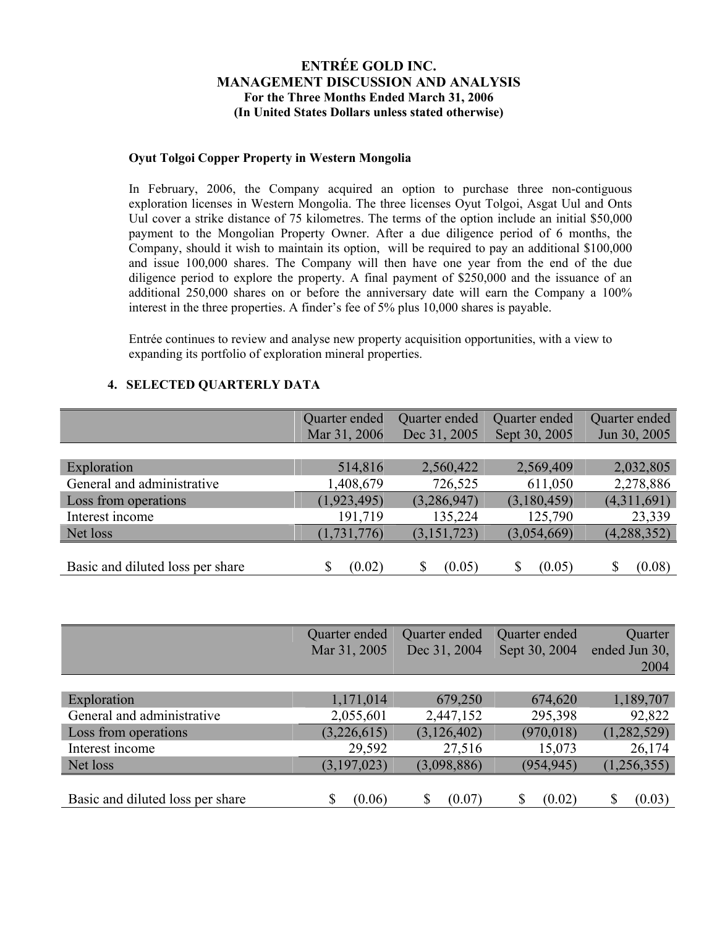#### **Oyut Tolgoi Copper Property in Western Mongolia**

In February, 2006, the Company acquired an option to purchase three non-contiguous exploration licenses in Western Mongolia. The three licenses Oyut Tolgoi, Asgat Uul and Onts Uul cover a strike distance of 75 kilometres. The terms of the option include an initial \$50,000 payment to the Mongolian Property Owner. After a due diligence period of 6 months, the Company, should it wish to maintain its option, will be required to pay an additional \$100,000 and issue 100,000 shares. The Company will then have one year from the end of the due diligence period to explore the property. A final payment of \$250,000 and the issuance of an additional 250,000 shares on or before the anniversary date will earn the Company a 100% interest in the three properties. A finder's fee of 5% plus 10,000 shares is payable.

Entrée continues to review and analyse new property acquisition opportunities, with a view to expanding its portfolio of exploration mineral properties.

### **4. SELECTED QUARTERLY DATA**

|                                  | Quarter ended | Quarter ended | Quarter ended | Quarter ended |
|----------------------------------|---------------|---------------|---------------|---------------|
|                                  | Mar 31, 2006  | Dec 31, 2005  | Sept 30, 2005 | Jun 30, 2005  |
|                                  |               |               |               |               |
| Exploration                      | 514,816       | 2,560,422     | 2,569,409     | 2,032,805     |
| General and administrative       | 1,408,679     | 726,525       | 611,050       | 2,278,886     |
| Loss from operations             | (1, 923, 495) | (3,286,947)   | (3,180,459)   | (4,311,691)   |
| Interest income                  | 191,719       | 135,224       | 125,790       | 23,339        |
| Net loss                         | (1, 731, 776) | (3, 151, 723) | (3,054,669)   | (4,288,352)   |
|                                  |               |               |               |               |
| Basic and diluted loss per share | (0.02)        | (0.05)        | (0.05)        | (0.08)        |

|                                  | Quarter ended | Quarter ended | Quarter ended | Quarter       |
|----------------------------------|---------------|---------------|---------------|---------------|
|                                  | Mar 31, 2005  | Dec 31, 2004  | Sept 30, 2004 | ended Jun 30, |
|                                  |               |               |               | 2004          |
|                                  |               |               |               |               |
| Exploration                      | 1,171,014     | 679,250       | 674,620       | 1,189,707     |
| General and administrative       | 2,055,601     | 2,447,152     | 295,398       | 92,822        |
| Loss from operations             | (3,226,615)   | (3, 126, 402) | (970, 018)    | (1,282,529)   |
| Interest income                  | 29,592        | 27,516        | 15,073        | 26,174        |
| Net loss                         | (3, 197, 023) | (3,098,886)   | (954, 945)    | (1,256,355)   |
|                                  |               |               |               |               |
| Basic and diluted loss per share | \$<br>(0.06)  | \$<br>(0.07)  | S<br>(0.02)   | (0.03)        |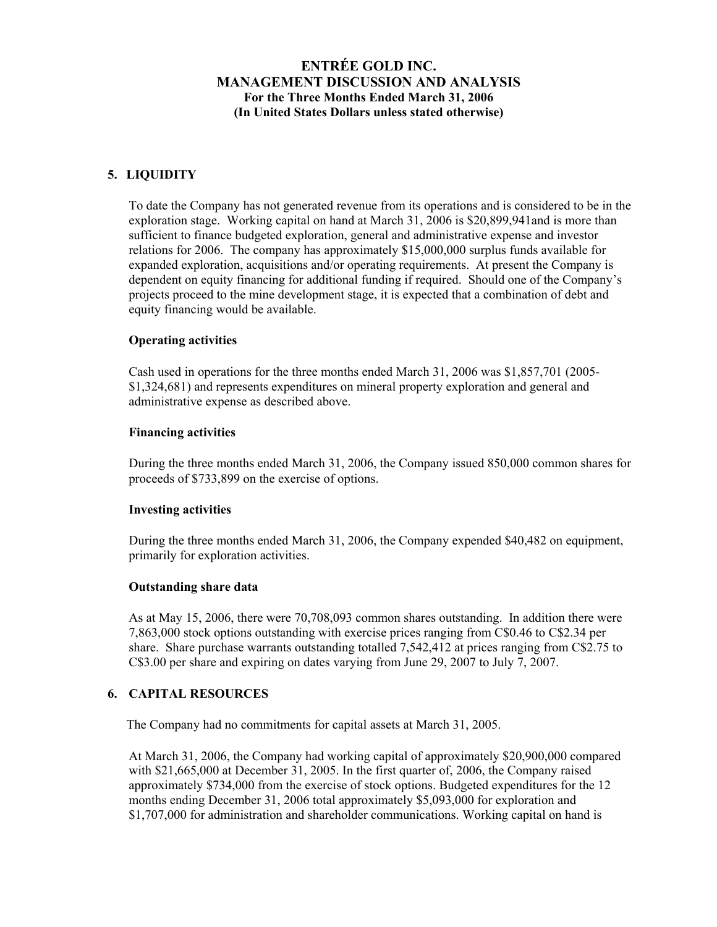### **5. LIQUIDITY**

To date the Company has not generated revenue from its operations and is considered to be in the exploration stage. Working capital on hand at March 31, 2006 is \$20,899,941and is more than sufficient to finance budgeted exploration, general and administrative expense and investor relations for 2006. The company has approximately \$15,000,000 surplus funds available for expanded exploration, acquisitions and/or operating requirements. At present the Company is dependent on equity financing for additional funding if required. Should one of the Company's projects proceed to the mine development stage, it is expected that a combination of debt and equity financing would be available.

### **Operating activities**

Cash used in operations for the three months ended March 31, 2006 was \$1,857,701 (2005- \$1,324,681) and represents expenditures on mineral property exploration and general and administrative expense as described above.

#### **Financing activities**

During the three months ended March 31, 2006, the Company issued 850,000 common shares for proceeds of \$733,899 on the exercise of options.

#### **Investing activities**

During the three months ended March 31, 2006, the Company expended \$40,482 on equipment, primarily for exploration activities.

#### **Outstanding share data**

As at May 15, 2006, there were 70,708,093 common shares outstanding. In addition there were 7,863,000 stock options outstanding with exercise prices ranging from C\$0.46 to C\$2.34 per share. Share purchase warrants outstanding totalled 7,542,412 at prices ranging from C\$2.75 to C\$3.00 per share and expiring on dates varying from June 29, 2007 to July 7, 2007.

## **6. CAPITAL RESOURCES**

The Company had no commitments for capital assets at March 31, 2005.

At March 31, 2006, the Company had working capital of approximately \$20,900,000 compared with \$21,665,000 at December 31, 2005. In the first quarter of, 2006, the Company raised approximately \$734,000 from the exercise of stock options. Budgeted expenditures for the 12 months ending December 31, 2006 total approximately \$5,093,000 for exploration and \$1,707,000 for administration and shareholder communications. Working capital on hand is